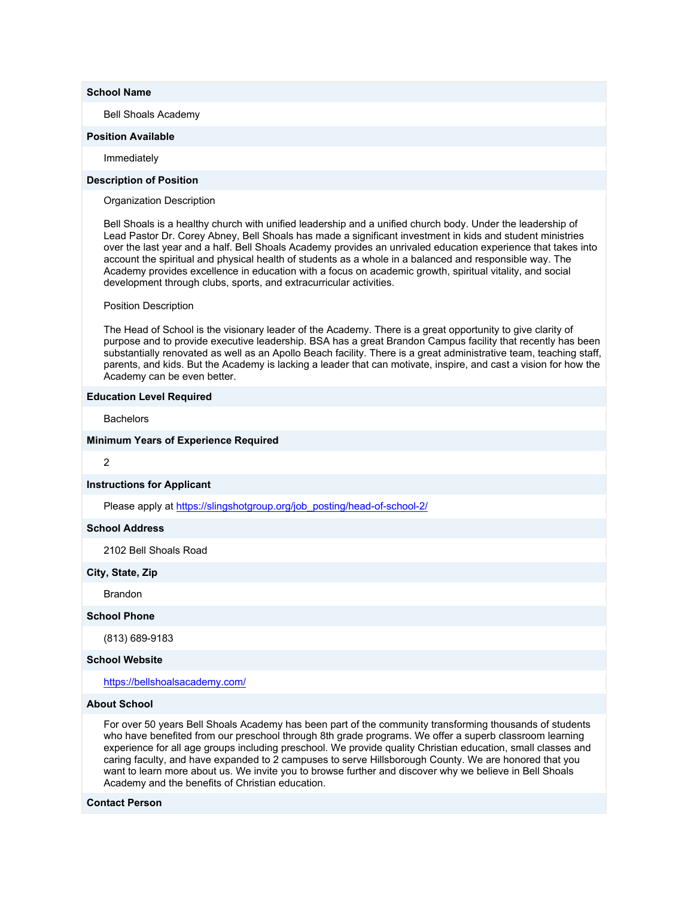## **School Name**

Bell Shoals Academy

#### **Position Available**

Immediately

# **Description of Position**

Organization Description

Bell Shoals is a healthy church with unified leadership and a unified church body. Under the leadership of Lead Pastor Dr. Corey Abney, Bell Shoals has made a significant investment in kids and student ministries over the last year and a half. Bell Shoals Academy provides an unrivaled education experience that takes into account the spiritual and physical health of students as a whole in a balanced and responsible way. The Academy provides excellence in education with a focus on academic growth, spiritual vitality, and social development through clubs, sports, and extracurricular activities.

### Position Description

The Head of School is the visionary leader of the Academy. There is a great opportunity to give clarity of purpose and to provide executive leadership. BSA has a great Brandon Campus facility that recently has been substantially renovated as well as an Apollo Beach facility. There is a great administrative team, teaching staff, parents, and kids. But the Academy is lacking a leader that can motivate, inspire, and cast a vision for how the Academy can be even better.

### **Education Level Required**

**Bachelors** 

### **Minimum Years of Experience Required**

2

#### **Instructions for Applicant**

Please apply at https://slingshotgroup.org/job\_posting/head-of-school-2/

# **School Address**

2102 Bell Shoals Road

## **City, State, Zip**

**Brandon** 

# **School Phone**

(813) 689-9183

#### **School Website**

https://bellshoalsacademy.com/

## **About School**

For over 50 years Bell Shoals Academy has been part of the community transforming thousands of students who have benefited from our preschool through 8th grade programs. We offer a superb classroom learning experience for all age groups including preschool. We provide quality Christian education, small classes and caring faculty, and have expanded to 2 campuses to serve Hillsborough County. We are honored that you want to learn more about us. We invite you to browse further and discover why we believe in Bell Shoals Academy and the benefits of Christian education.

#### **Contact Person**